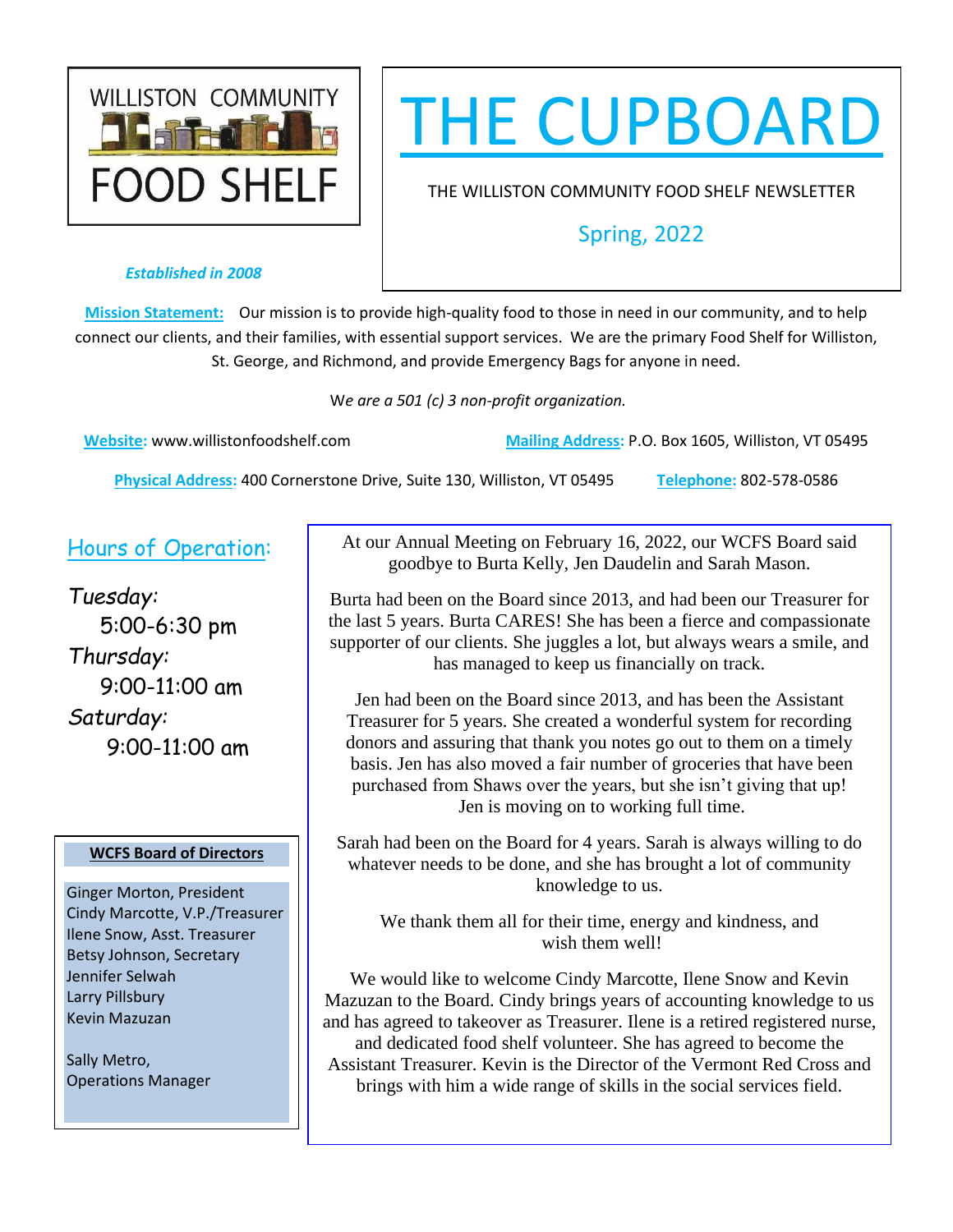

# THE CUPBOARD

THE WILLISTON COMMUNITY FOOD SHELF NEWSLETTER

# Spring, 2022

### *Established in 2008*

**Mission Statement:** Our mission is to provide high-quality food to those in need in our community, and to help connect our clients, and their families, with essential support services. We are the primary Food Shelf for Williston, St. George, and Richmond, and provide Emergency Bags for anyone in need.

W*e are a 501 (c) 3 non-profit organization.* 

**Website:** [www.willistonfoodshelf.com](http://www.willistonfoodshelf.com/) **Mailing Address:** P.O. Box 1605, Williston, VT 05495

**Physical Address:** 400 Cornerstone Drive, Suite 130, Williston, VT 05495 **Telephone:** 802-578-0586

# Hours of Operation:

*Tuesday:* 5:00-6:30 pm *Thursday:* 9:00-11:00 am *Saturday:* 9:00-11:00 am

## **WCFS Board of Directors**

Ginger Morton, President Cindy Marcotte, V.P./Treasurer Ilene Snow, Asst. Treasurer Betsy Johnson, Secretary Jennifer Selwah Larry Pillsbury Kevin Mazuzan

Sally Metro, Operations Manager At our Annual Meeting on February 16, 2022, our WCFS Board said goodbye to Burta Kelly, Jen Daudelin and Sarah Mason.

Burta had been on the Board since 2013, and had been our Treasurer for the last 5 years. Burta CARES! She has been a fierce and compassionate supporter of our clients. She juggles a lot, but always wears a smile, and has managed to keep us financially on track.

Jen had been on the Board since 2013, and has been the Assistant Treasurer for 5 years. She created a wonderful system for recording donors and assuring that thank you notes go out to them on a timely basis. Jen has also moved a fair number of groceries that have been purchased from Shaws over the years, but she isn't giving that up! Jen is moving on to working full time.

Sarah had been on the Board for 4 years. Sarah is always willing to do whatever needs to be done, and she has brought a lot of community knowledge to us.

We thank them all for their time, energy and kindness, and wish them well!

We would like to welcome Cindy Marcotte, Ilene Snow and Kevin Mazuzan to the Board. Cindy brings years of accounting knowledge to us and has agreed to takeover as Treasurer. Ilene is a retired registered nurse, and dedicated food shelf volunteer. She has agreed to become the Assistant Treasurer. Kevin is the Director of the Vermont Red Cross and brings with him a wide range of skills in the social services field.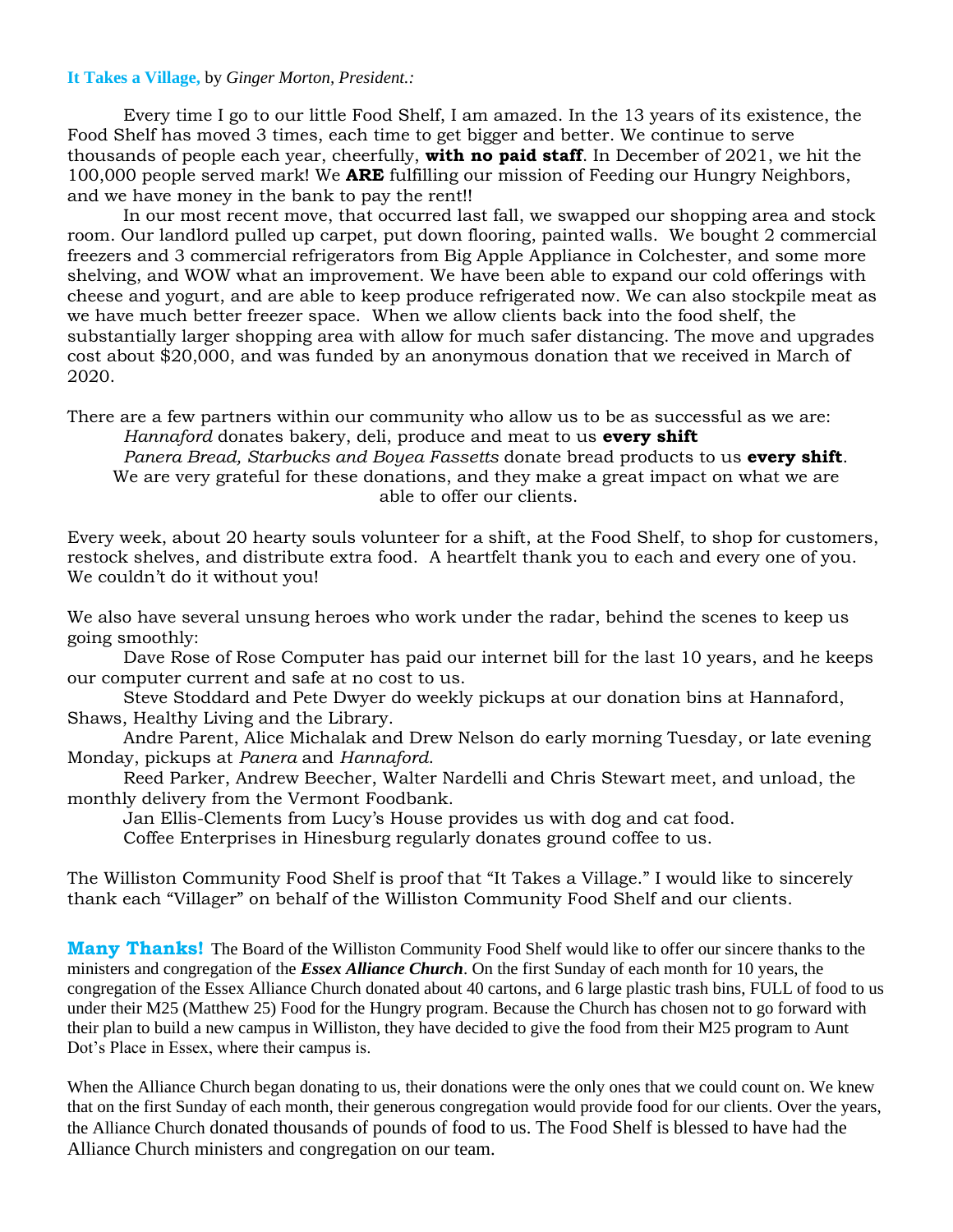#### **It Takes a Village,** by *Ginger Morton, President.:*

Every time I go to our little Food Shelf, I am amazed. In the 13 years of its existence, the Food Shelf has moved 3 times, each time to get bigger and better. We continue to serve thousands of people each year, cheerfully, **with no paid staff**. In December of 2021, we hit the 100,000 people served mark! We **ARE** fulfilling our mission of Feeding our Hungry Neighbors, and we have money in the bank to pay the rent!!

In our most recent move, that occurred last fall, we swapped our shopping area and stock room. Our landlord pulled up carpet, put down flooring, painted walls. We bought 2 commercial freezers and 3 commercial refrigerators from Big Apple Appliance in Colchester, and some more shelving, and WOW what an improvement. We have been able to expand our cold offerings with cheese and yogurt, and are able to keep produce refrigerated now. We can also stockpile meat as we have much better freezer space. When we allow clients back into the food shelf, the substantially larger shopping area with allow for much safer distancing. The move and upgrades cost about \$20,000, and was funded by an anonymous donation that we received in March of 2020.

There are a few partners within our community who allow us to be as successful as we are: *Hannaford* donates bakery, deli, produce and meat to us **every shift**

*Panera Bread, Starbucks and Boyea Fassetts* donate bread products to us **every shift**. We are very grateful for these donations, and they make a great impact on what we are able to offer our clients.

Every week, about 20 hearty souls volunteer for a shift, at the Food Shelf, to shop for customers, restock shelves, and distribute extra food. A heartfelt thank you to each and every one of you. We couldn't do it without you!

We also have several unsung heroes who work under the radar, behind the scenes to keep us going smoothly:

Dave Rose of Rose Computer has paid our internet bill for the last 10 years, and he keeps our computer current and safe at no cost to us.

Steve Stoddard and Pete Dwyer do weekly pickups at our donation bins at Hannaford, Shaws, Healthy Living and the Library.

Andre Parent, Alice Michalak and Drew Nelson do early morning Tuesday, or late evening Monday, pickups at *Panera* and *Hannaford*.

Reed Parker, Andrew Beecher, Walter Nardelli and Chris Stewart meet, and unload, the monthly delivery from the Vermont Foodbank.

Jan Ellis-Clements from Lucy's House provides us with dog and cat food. Coffee Enterprises in Hinesburg regularly donates ground coffee to us.

The Williston Community Food Shelf is proof that "It Takes a Village." I would like to sincerely thank each "Villager" on behalf of the Williston Community Food Shelf and our clients.

**Many Thanks!** The Board of the Williston Community Food Shelf would like to offer our sincere thanks to the ministers and congregation of the *Essex Alliance Church*. On the first Sunday of each month for 10 years, the congregation of the Essex Alliance Church donated about 40 cartons, and 6 large plastic trash bins, FULL of food to us under their M25 (Matthew 25) Food for the Hungry program. Because the Church has chosen not to go forward with their plan to build a new campus in Williston, they have decided to give the food from their M25 program to Aunt Dot's Place in Essex, where their campus is.

When the Alliance Church began donating to us, their donations were the only ones that we could count on. We knew that on the first Sunday of each month, their generous congregation would provide food for our clients. Over the years, the Alliance Church donated thousands of pounds of food to us. The Food Shelf is blessed to have had the Alliance Church ministers and congregation on our team.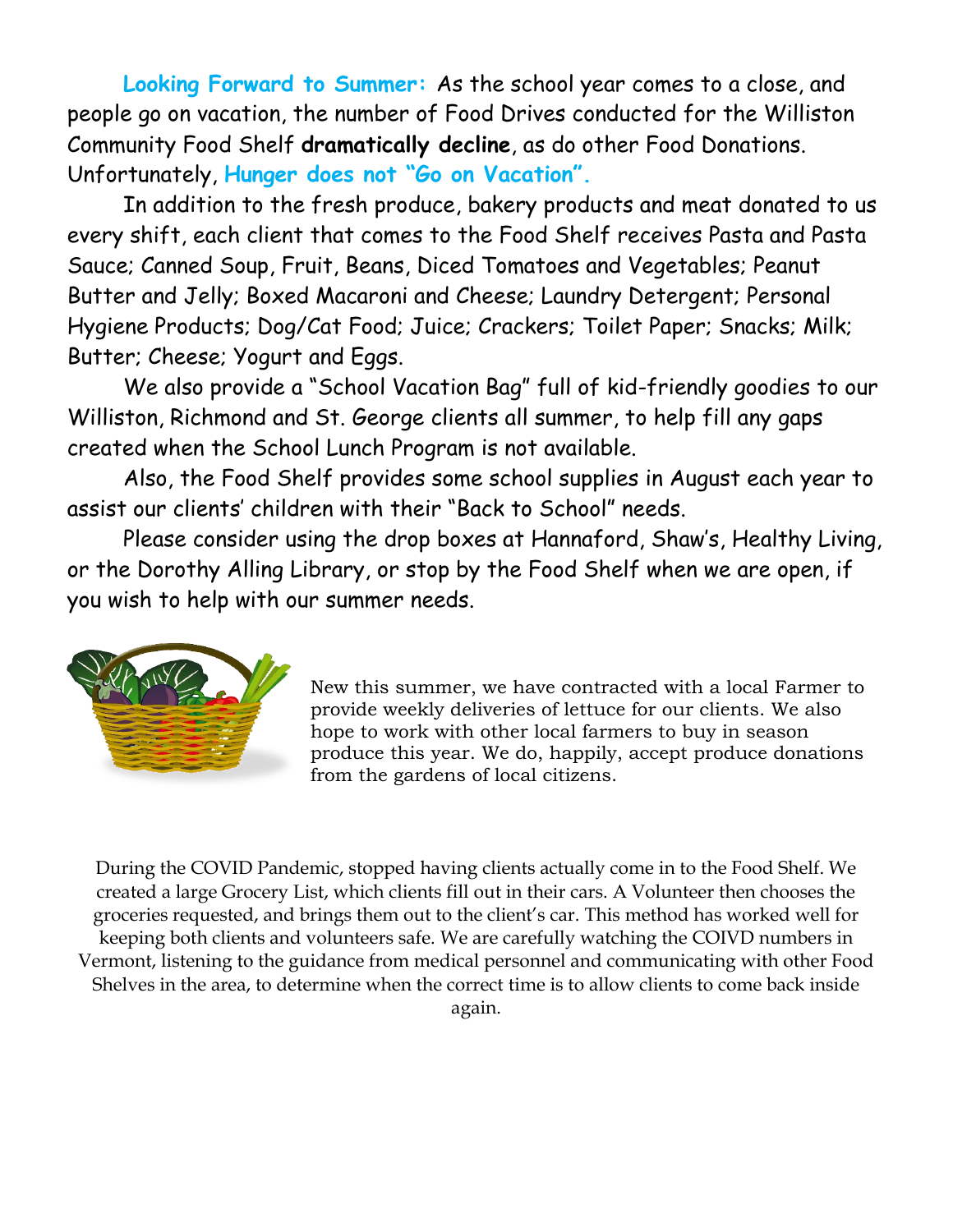**Looking Forward to Summer:** As the school year comes to a close, and people go on vacation, the number of Food Drives conducted for the Williston Community Food Shelf **dramatically decline**, as do other Food Donations. Unfortunately, **Hunger does not "Go on Vacation".**

In addition to the fresh produce, bakery products and meat donated to us every shift, each client that comes to the Food Shelf receives Pasta and Pasta Sauce; Canned Soup, Fruit, Beans, Diced Tomatoes and Vegetables; Peanut Butter and Jelly; Boxed Macaroni and Cheese; Laundry Detergent; Personal Hygiene Products; Dog/Cat Food; Juice; Crackers; Toilet Paper; Snacks; Milk; Butter; Cheese; Yogurt and Eggs.

We also provide a "School Vacation Bag" full of kid-friendly goodies to our Williston, Richmond and St. George clients all summer, to help fill any gaps created when the School Lunch Program is not available.

Also, the Food Shelf provides some school supplies in August each year to assist our clients' children with their "Back to School" needs.

Please consider using the drop boxes at Hannaford, Shaw's, Healthy Living, or the Dorothy Alling Library, or stop by the Food Shelf when we are open, if you wish to help with our summer needs.



New this summer, we have contracted with a local Farmer to provide weekly deliveries of lettuce for our clients. We also hope to work with other local farmers to buy in season produce this year. We do, happily, accept produce donations from the gardens of local citizens.

During the COVID Pandemic, stopped having clients actually come in to the Food Shelf. We created a large Grocery List, which clients fill out in their cars. A Volunteer then chooses the groceries requested, and brings them out to the client's car. This method has worked well for keeping both clients and volunteers safe. We are carefully watching the COIVD numbers in Vermont, listening to the guidance from medical personnel and communicating with other Food Shelves in the area, to determine when the correct time is to allow clients to come back inside again.